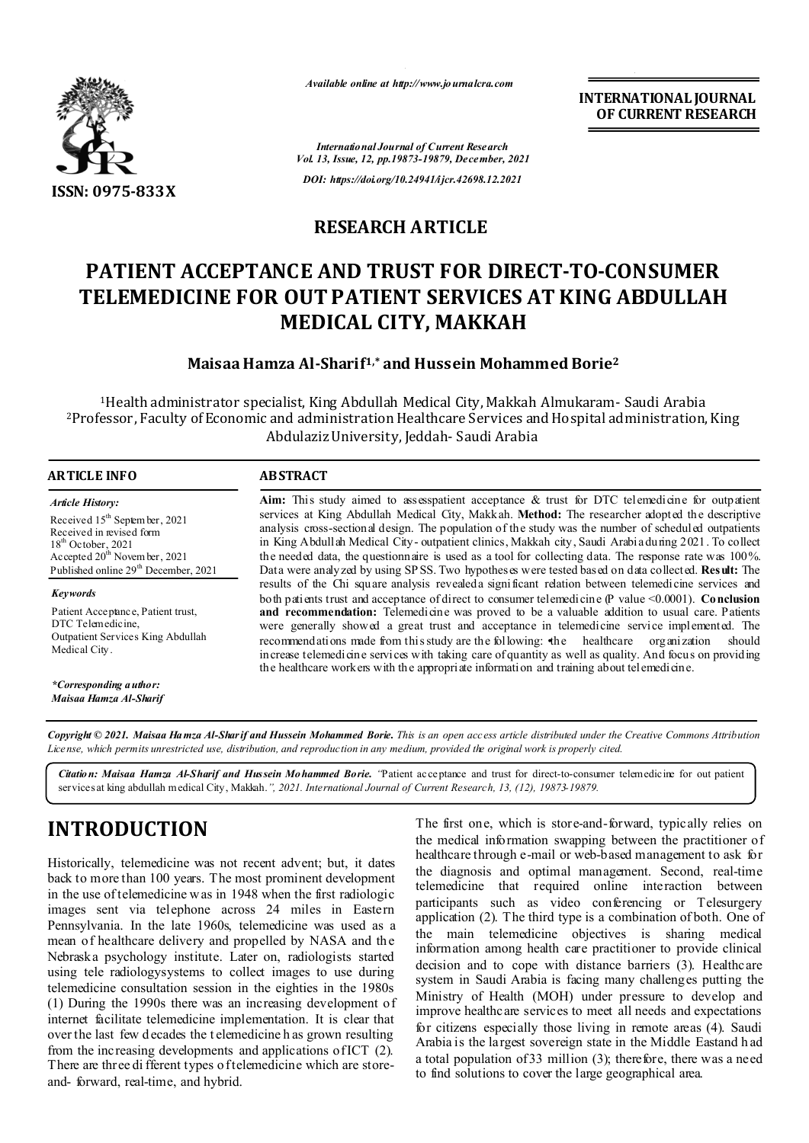

*Available online at http://www.journalcra.com*

**INTERNATIONAL JOURNAL OF CURRENT RESEARCH**

*International Journal of Current Research Vol. 13, Issue, 12, pp.19873-19879, December, 2021 DOI: https://doi.org/10.24941/ijcr.42698.12.2021*

#### **RESEARCH ARTICLE**

# **PATIENT ACCEPTANCE AND TRUST FOR DIRECT-TO-CONSUMER TELEMEDICINE FOR OUT PATIENT SERVICES AT KING ABDULLAH MEDICAL CITY, MAKKAH**

#### **Maisaa Hamza Al-Sharif1,\* and Hussein Mohammed Borie2**

1Health administrator specialist, King Abdullah Medical City, Makkah Almukaram- Saudi Arabia 2Professor, Faculty of Economic and administration Healthcare Services and Hospital administration, King Abdulaziz University, Jeddah- Saudi Arabia

| ARTICLE INFO                                                                                                                                                                        | <b>ABSTRACT</b>                                                                                                                                                                                                                                                                                                                                                                                                                                                                                                                                                                                              |
|-------------------------------------------------------------------------------------------------------------------------------------------------------------------------------------|--------------------------------------------------------------------------------------------------------------------------------------------------------------------------------------------------------------------------------------------------------------------------------------------------------------------------------------------------------------------------------------------------------------------------------------------------------------------------------------------------------------------------------------------------------------------------------------------------------------|
| <b>Article History:</b>                                                                                                                                                             | Aim: This study aimed to assesspatient acceptance & trust for DTC telemedicine for outpatient                                                                                                                                                                                                                                                                                                                                                                                                                                                                                                                |
| Received $15th$ September, 2021<br>Received in revised form<br>$18th$ October, 2021<br>Accepted $20^{\text{th}}$ November, 2021<br>Published online 29 <sup>th</sup> December, 2021 | services at King Abdullah Medical City, Makkah. Method: The researcher adopted the descriptive<br>analysis cross-sectional design. The population of the study was the number of scheduled outpatients<br>in King Abdullah Medical City-outpatient clinics, Makkah city, Saudi Arabia during 2021. To collect<br>the needed data, the questionnaire is used as a tool for collecting data. The response rate was 100%.<br>Data were analyzed by using SPSS. Two hypotheses were tested based on data collected. Result: The                                                                                  |
|                                                                                                                                                                                     | results of the Chi square analysis revealed a significant relation between telemedicine services and                                                                                                                                                                                                                                                                                                                                                                                                                                                                                                         |
| Keywords<br>Patient Acceptance, Patient trust,<br>DTC Telemedicine,<br>Outpatient Services King Abdullah<br>Medical City.                                                           | both patients trust and acceptance of direct to consumer telemedicine $(P$ value <0.0001). Conclusion<br>and recommendation: Telemedicine was proved to be a valuable addition to usual care. Patients<br>were generally showed a great trust and acceptance in telemedicine service implemented. The<br>recommendations made from this study are the following: the healthcare organization<br>should<br>increase telemedicine services with taking care of quantity as well as quality. And focus on providing<br>the healthcare workers with the appropriate information and training about telemedicine. |
| *Corresponding a uthor:                                                                                                                                                             |                                                                                                                                                                                                                                                                                                                                                                                                                                                                                                                                                                                                              |

Copyright © 2021. Maisaa Hamza Al-Sharif and Hussein Mohammed Borie. This is an open access article distributed under the Creative Commons Attribution License, which permits unrestricted use, distribution, and reproduction in any medium, provided the original work is properly cited.

*Citation: Maisaa Hamza Al-Sharif and Hussein Mohammed Borie. "*Patient acceptance and trust for direct-to-consumer telemedicine for out patient services at king abdullah medical City, Makkah.*", 2021. International Journal of Current Research, 13, (12), 19873-19879.*

## **INTRODUCTION**

*Maisaa Hamza Al-Sharif*

Historically, telemedicine was not recent advent; but, it dates back to more than 100 years. The most prominent development in the use of telemedicine w as in 1948 when the first radiologic images sent via telephone across 24 miles in Eastern Pennsylvania. In the late 1960s, telemedicine was used as a mean of healthcare delivery and propelled by NASA and the Nebraska psychology institute. Later on, radiologists started using tele radiologysystems to collect images to use during telemedicine consultation session in the eighties in the 1980s (1) During the 1990s there was an increasing development of internet facilitate telemedicine implementation. It is clear that over the last few d ecades the t elemedicine h as grown resulting from the increasing developments and applications of ICT (2). There are three di fferent types of telemedicine which are storeand- forward, real-time, and hybrid.

The first one, which is store-and-forward, typically relies on the medical information swapping between the practitioner of healthcare through e-mail or web-based management to ask for the diagnosis and optimal management. Second, real-time telemedicine that required online interaction between participants such as video conferencing or Telesurgery application (2). The third type is a combination of both. One of the main telemedicine objectives is sharing medical information among health care practitioner to provide clinical decision and to cope with distance barriers (3). Healthcare system in Saudi Arabia is facing many challenges putting the Ministry of Health (MOH) under pressure to develop and improve healthcare services to meet all needs and expectations for citizens especially those living in remote areas (4). Saudi Arabia is the largest sovereign state in the Middle Eastand h ad a total population of 33 million (3); therefore, there was a need to find solutions to cover the large geographical area.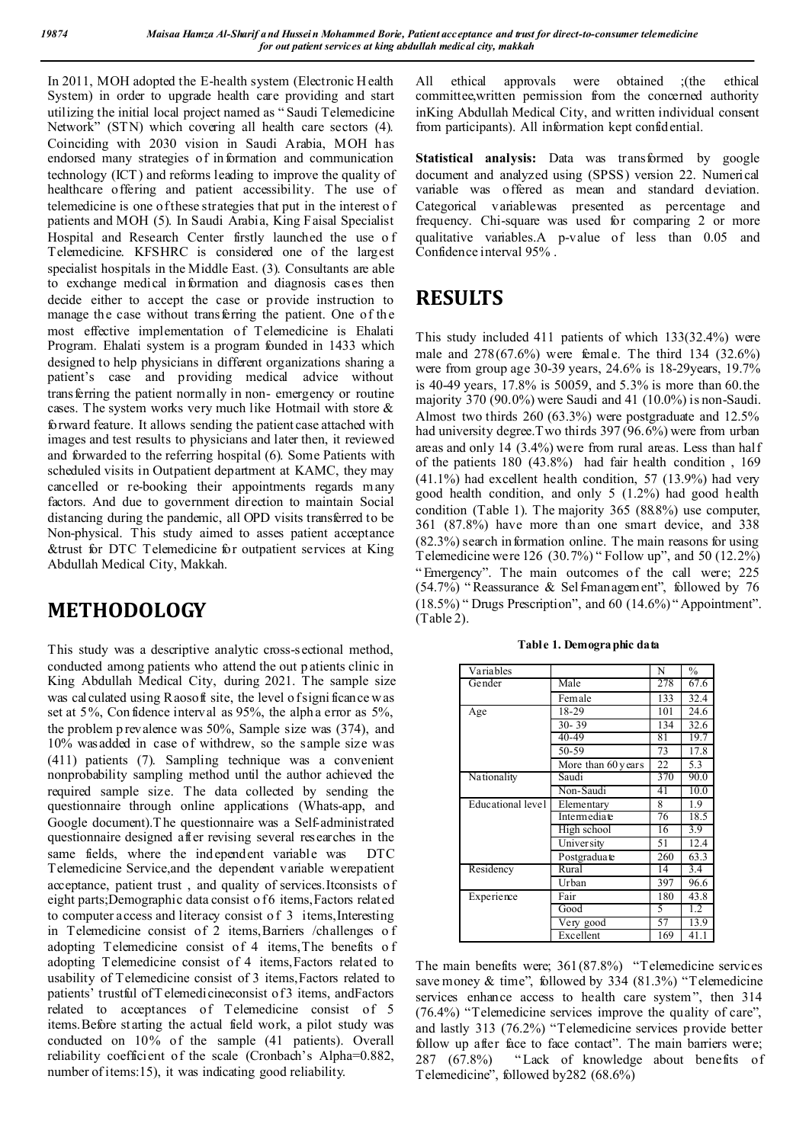In 2011, MOH adopted the E-health system (Electronic H ealth System) in order to upgrade health care providing and start utilizing the initial local project named as " Saudi Telemedicine Network" (STN) which covering all health care sectors (4). Coinciding with 2030 vision in Saudi Arabia, MOH has endorsed many strategies of information and communication technology (ICT) and reforms leading to improve the quality of healthcare offering and patient accessibility. The use of telemedicine is one of these strategies that put in the interest o f patients and MOH (5). In Saudi Arabia, King Faisal Specialist Hospital and Research Center firstly launched the use o f Telemedicine. KFSHRC is considered one of the largest specialist hospitals in the Middle East. (3). Consultants are able to exchange medical information and diagnosis cases then decide either to accept the case or provide instruction to manage the case without transferring the patient. One of the most effective implementation of Telemedicine is Ehalati Program. Ehalati system is a program founded in 1433 which designed to help physicians in different organizations sharing a patient's case and providing medical advice without transferring the patient normally in non- emergency or routine cases. The system works very much like Hotmail with store & forward feature. It allows sending the patient case attached with images and test results to physicians and later then, it reviewed and forwarded to the referring hospital (6). Some Patients with scheduled visits in Outpatient department at KAMC, they may cancelled or re-booking their appointments regards many factors. And due to government direction to maintain Social distancing during the pandemic, all OPD visits transferred to be Non-physical. This study aimed to asses patient acceptance &trust for DTC Telemedicine for outpatient services at King Abdullah Medical City, Makkah.

### **METHODOLOGY**

This study was a descriptive analytic cross-sectional method, conducted among patients who attend the out p atients clinic in King Abdullah Medical City, during 2021. The sample size was calculated using Raosoft site, the level of significance was set at 5%, Con fidence interval as 95%, the alph a error as 5%, the problem p revalence was 50%, Sample size was (374), and 10% wasadded in case of withdrew, so the sample size was (411) patients (7). Sampling technique was a convenient nonprobability sampling method until the author achieved the required sample size. The data collected by sending the questionnaire through online applications (Whats-app, and Google document).T he questionnaire was a Self-administrated questionnaire designed after revising several researches in the same fields, where the independent variable was DTC Telemedicine Service,and the dependent variable werepatient acceptance, patient trust , and quality of services.Itconsists of eight parts;Demographic data consist o f6 items, Factors related to computer access and literacy consist of 3 items, Interesting in Telemedicine consist of 2 items,Barriers /challenges o f adopting Telemedicine consist of 4 items,The benefits o f adopting Telemedicine consist of 4 items,Factors related to usability of Telemedicine consist of 3 items,Factors related to patients' trustful of T elemedicineconsist of 3 items, andFactors related to acceptances of Telemedicine consist of 5 items.Before st arting the actual field work, a pilot study was conducted on 10% of the sample (41 patients). Overall reliability coefficient of the scale (Cronbach's Alpha=0.882, number of items:15), it was indicating good reliability.

All ethical approvals were obtained ;(the ethical committee,written permission from the concerned authority inKing Abdullah Medical City, and written individual consent from participants). All information kept confidential.

**Statistical analysis:** Data was transformed by google document and analyzed using (SPSS) version 22. Numerical variable was offered as mean and standard deviation. Categorical variablewas presented as percentage and frequency. Chi-square was used for comparing 2 or more qualitative variables.A p-value of less than 0.05 and Confidence interval 95% .

### **RESULTS**

This study included 411 patients of which 133(32.4%) were male and 278(67.6%) were female. The third 134 (32.6%) were from group age 30-39 years, 24.6% is 18-29years, 19.7% is 40-49 years, 17.8% is 50059, and 5.3% is more than 60.the majority 370 (90.0%) were Saudi and 41 (10.0%) is non-Saudi. Almost two thirds 260 (63.3%) were postgraduate and 12.5% had university degree.Two thirds 397 (96.6%) were from urban areas and only 14 (3.4%) were from rural areas. Less than half of the patients 180 (43.8%) had fair health condition , 169 (41.1%) had excellent health condition, 57 (13.9%) had very good health condition, and only 5 (1.2%) had good health condition (Table 1). The majority 365 (88.8%) use computer, 361 (87.8%) have more than one smart device, and 338 (82.3%) search in formation online. The main reasons for using Telemedicine were 126 (30.7%) " Follow up", and 50 (12.2%) " Emergency". The main outcomes of the call were; 225 (54.7%) " Reassurance & Self-management", followed by 76 (18.5%) " Drugs Prescription", and 60 (14.6%) " Appointment". (Table 2).

| Variables         |                    | N   | $\frac{0}{0}$ |
|-------------------|--------------------|-----|---------------|
| Gender            | Male               | 278 | 67.6          |
|                   | Female             | 133 | 32.4          |
| Age               | 18-29              | 101 | 24.6          |
|                   | $30 - 39$          | 134 | 32.6          |
|                   | $40 - 49$          | 81  | 19.7          |
|                   | 50-59              | 73  | 17.8          |
|                   | More than 60 years | 22  | 5.3           |
| Nationality       | Saudi              | 370 | 90.0          |
|                   | Non-Saudi          | 41  | 10.0          |
| Educational level | Elementary         | 8   | 1.9           |
|                   | Intermediate       | 76  | 18.5          |
|                   | High school        | T6  | 3.9           |
|                   | University         | 51  | 12.4          |
|                   | Postgradua te      | 260 | 63.3          |
| Residency         | Rural              | 14  | 3.4           |
|                   | Urban              | 397 | 96.6          |
| Experience        | Fair               | 180 | 43.8          |
|                   | Good               | 5   | 1.2           |
|                   | Very good          | 57  | 13.9          |
|                   | Excellent          | 169 | 41.1          |

**Table 1. Demographic data**

The main benefits were; 361(87.8%) "Telemedicine services save money & time", followed by 334 (81.3%) "Telemedicine services enhance access to health care system", then 314 (76.4%) "Telemedicine services improve the quality of care", and lastly 313 (76.2%) "Telemedicine services provide better follow up after face to face contact". The main barriers were; 287 (67.8%) " Lack of knowledge about benefits of Telemedicine", followed by282 (68.6%)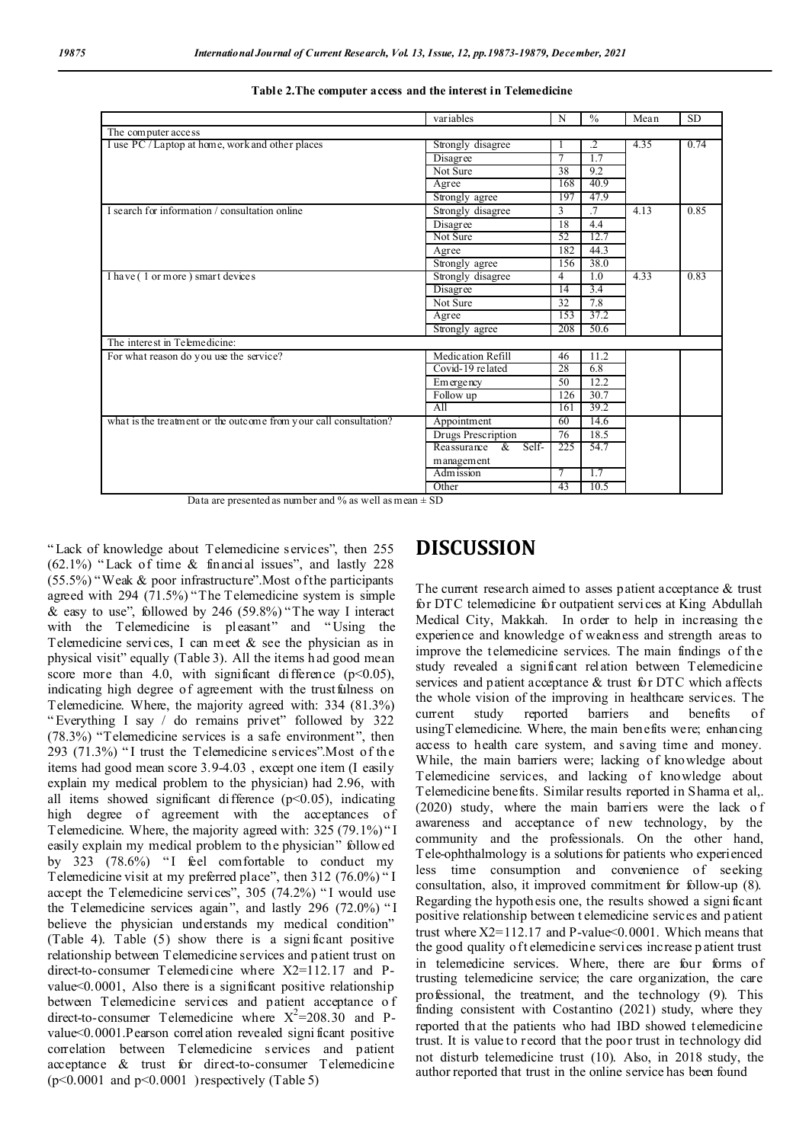|                                                                   | variables                        | N   | $\frac{0}{0}$   | Mean | <b>SD</b> |  |
|-------------------------------------------------------------------|----------------------------------|-----|-----------------|------|-----------|--|
| The computer access                                               |                                  |     |                 |      |           |  |
| I use PC / Laptop at home, work and other places                  | Strongly disagree                |     | $\overline{.2}$ | 4.35 | 0.74      |  |
|                                                                   | Disagree                         |     | 1.7             |      |           |  |
|                                                                   | Not Sure                         | 38  | 9.2             |      |           |  |
|                                                                   | Agree                            | 168 | 40.9            |      |           |  |
|                                                                   | Strongly agree                   | 197 | 47.9            |      |           |  |
| I search for information / consultation online                    | Strongly disagree                | 3   | .7              | 4.13 | 0.85      |  |
|                                                                   | Disagree                         | 18  | 4.4             |      |           |  |
|                                                                   | Not Sure                         | 52  | 12.7            |      |           |  |
|                                                                   | Agree                            | 182 | 44.3            |      |           |  |
|                                                                   | Strongly agree                   | 156 | 38.0            |      |           |  |
| I have (1 or more) smart devices                                  | Strongly disagree                | 4   | 1.0             | 4.33 | 0.83      |  |
|                                                                   | Disagree                         | 14  | 3.4             |      |           |  |
|                                                                   | Not Sure                         | 32  | 7.8             |      |           |  |
|                                                                   | Agree                            | 153 | 37.2            |      |           |  |
|                                                                   | Strongly agree                   | 208 | 50.6            |      |           |  |
| The interest in Telemedicine:                                     |                                  |     |                 |      |           |  |
| For what reason do you use the service?                           | Medication Refill                | 46  | 11.2            |      |           |  |
|                                                                   | Covid-19 related                 | 28  | 6.8             |      |           |  |
|                                                                   | Emergency                        | 50  | 12.2            |      |           |  |
|                                                                   | Follow up                        | 126 | 30.7            |      |           |  |
|                                                                   | All                              | 161 | 39.2            |      |           |  |
| what is the treatment or the outcome from your call consultation? | Appointment                      | 60  | 14.6            |      |           |  |
|                                                                   | Drugs Prescription               | 76  | 18.5            |      |           |  |
|                                                                   | Self-<br>$\alpha$<br>Reassurance | 225 | 54.7            |      |           |  |
|                                                                   | management                       |     |                 |      |           |  |
|                                                                   | Adm ission                       | 7   | 1.7             |      |           |  |
|                                                                   | Other                            | 43  | 10.5            |      |           |  |

**Table 2.The computer access and the interest in Telemedicine**

Data are presented as number and % as well as mean  $\pm$  SD

" Lack of knowledge about Telemedicine services", then 255 (62.1%) " Lack of time & financial issues", and lastly 228 (55.5%) "Weak & poor infrastructure".Most of the participants agreed with 294 (71.5%) "The Telemedicine system is simple & easy to use", followed by 246 (59.8%) "The way I interact with the Telemedicine is pleasant" and " Using the Telemedicine services, I can meet & see the physician as in physical visit" equally (Table 3). All the items h ad good mean score more than 4.0, with significant difference  $(p<0.05)$ , indicating high degree of agreement with the trust fulness on Telemedicine. Where, the majority agreed with: 334 (81.3%) " Everything I say / do remains privet" followed by 322 (78.3%) "Telemedicine services is a safe environment", then  $293$  (71.3%) "I trust the Telemedicine services". Most of the items had good mean score 3.9-4.03 , except one item (I easily explain my medical problem to the physician) had 2.96, with all items showed significant difference  $(p<0.05)$ , indicating high degree of agreement with the acceptances of Telemedicine. Where, the majority agreed with: 325 (79.1%) " I easily explain my medical problem to the physician" followed by 323  $(78.6\%)$  "I feel comfortable to conduct my Telemedicine visit at my preferred place", then 312 (76.0%) " I accept the Telemedicine services", 305 (74.2%) "I would use the Telemedicine services again", and lastly 296 (72.0%) " I believe the physician understands my medical condition" (Table 4). Table (5) show there is a signi ficant positive relationship between Telemedicine services and patient trust on direct-to-consumer Telemedicine where X2=112.17 and Pvalue<0.0001, Also there is a significant positive relationship between Telemedicine services and patient acceptance o f direct-to-consumer Telemedicine where  $X^2 = 208.30$  and Pvalue<0.0001.Pearson correlation revealed signi ficant positive correlation between Telemedicine services and patient acceptance & trust for direct-to-consumer Telemedicine  $(p<0.0001$  and  $p<0.0001$ ) respectively (Table 5)

#### **DISCUSSION**

The current research aimed to asses patient acceptance & trust for DTC telemedicine for outpatient services at King Abdullah Medical City, Makkah. In order to help in increasing the experience and knowledge of weakness and strength areas to improve the telemedicine services. The main findings of the study revealed a significant relation between Telemedicine services and patient acceptance & trust for DTC which affects the whole vision of the improving in healthcare services. The current study reported barriers and benefits of usingTelemedicine. Where, the main benefits were; enhancing access to health care system, and saving time and money. While, the main barriers were; lacking of knowledge about Telemedicine services, and lacking of knowledge about Telemedicine benefits. Similar results reported in Sharma et al,. (2020) study, where the main barriers were the lack o f awareness and acceptance of new technology, by the community and the professionals. On the other hand, Tele-ophthalmology is a solutions for patients who experienced less time consumption and convenience of seeking consultation, also, it improved commitment for follow-up (8). Regarding the hypoth esis one, the results showed a signi ficant positive relationship between t elemedicine services and patient trust where  $X2=112.17$  and P-value  $0.0001$ . Which means that the good quality of t elemedicine services increase p atient trust in telemedicine services. Where, there are four forms of trusting telemedicine service; the care organization, the care professional, the treatment, and the technology (9). This finding consistent with Costantino (2021) study, where they reported that the patients who had IBD showed telemedicine trust. It is value to record that the poor trust in technology did not disturb telemedicine trust (10). Also, in 2018 study, the author reported that trust in the online service has been found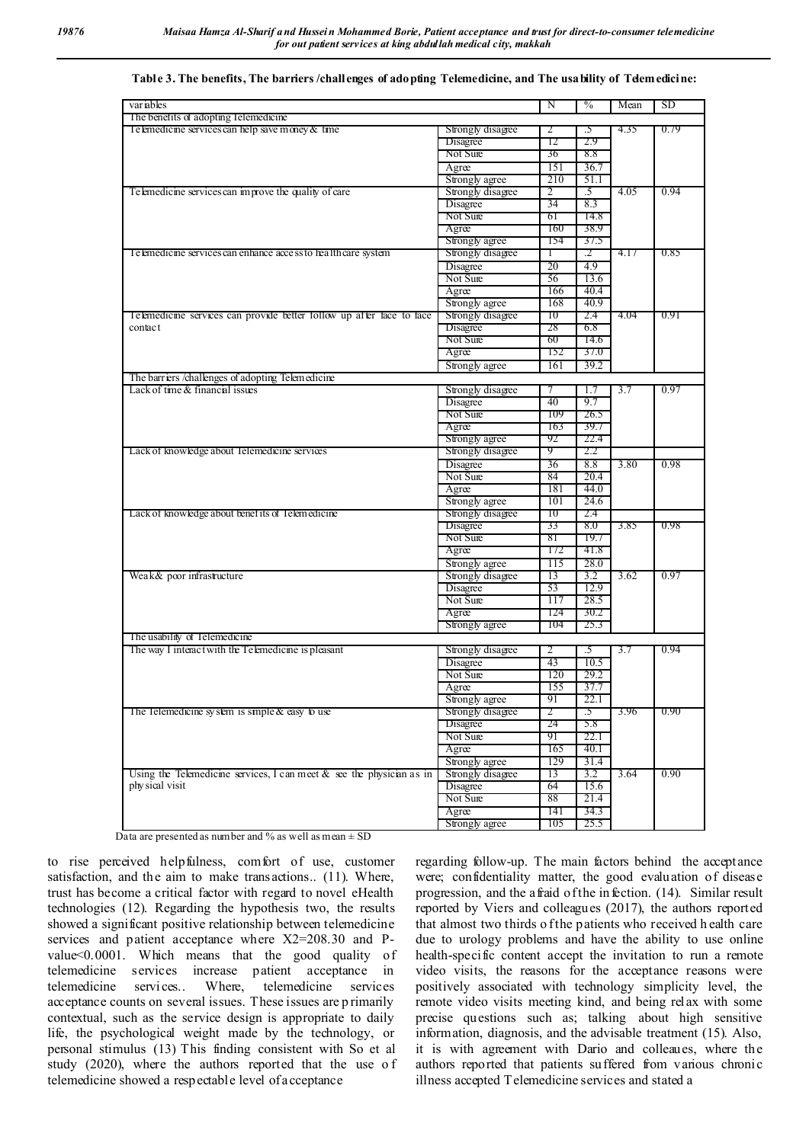| variables                                                               |                   | N              | $\frac{0}{0}$   | Mean | SD.  |
|-------------------------------------------------------------------------|-------------------|----------------|-----------------|------|------|
| The benefits of adopting Telemedicine                                   |                   |                |                 |      |      |
| Te lemedicine services can help save money & time                       | Strongly disagree | 2              | .5              | 4.35 | 0.79 |
|                                                                         | <b>D</b> isagree  | 12             | 2.9             |      |      |
|                                                                         | Not Sure          | 36             | 8.8             |      |      |
|                                                                         | Agree             | 151            | 36.7            |      |      |
|                                                                         | Strongly agree    | 210            | 51.1            |      |      |
| Telemedicine services can improve the quality of care                   | Strongly disagree | $\overline{2}$ | .5              | 4.05 | 0.94 |
|                                                                         | Disagree          | 34             | 8.3             |      |      |
|                                                                         | Not Sure          | 61             | 14.8            |      |      |
|                                                                         | Agree             | 160            | 38.9            |      |      |
|                                                                         | Strongly agree    | 154            | 37.5            |      |      |
| Telemedicine services can enhance access to healthcare system           | Strongly disagree | Т              | .2              | 4.17 | 0.85 |
|                                                                         | Disagree          | 20             | 4.9             |      |      |
|                                                                         | Not Sure          | 56             | 13.6            |      |      |
|                                                                         | Agree             | 166            | 40.4            |      |      |
|                                                                         | Strongly agree    | 168            | 40.9            |      |      |
| Telemedicine services can provide better follow up after face to face   | Strongly disagree | 10             | 2.4             | 4.04 | 0.91 |
| contact                                                                 | Disagree          | 28             | 6.8             |      |      |
|                                                                         | Not Sure          | 60             | 14.6            |      |      |
|                                                                         | Agree             | 152            | 37.0            |      |      |
|                                                                         | Strongly agree    | 161            | 39.2            |      |      |
| The barriers /challenges of adopting Telemedicine                       |                   |                |                 |      |      |
| Lack of time & financial issues                                         | Strongly disagree | 7              | 1.7             | 3.7  | 0.97 |
|                                                                         | Disagree          | 40             | 9.7             |      |      |
|                                                                         | Not Sure          | 109            | 26.5            |      |      |
|                                                                         | Agree             | 163            | 39.7            |      |      |
|                                                                         | Strongly agree    | 92             | 22.4            |      |      |
| Lack of knowledge about Telemedicine services                           | Strongly disagree | 9              | 2.2             |      |      |
|                                                                         | Disagree          | 36             | 8.8             | 3.80 | 0.98 |
|                                                                         | Not Sure          | 84             | 20.4            |      |      |
|                                                                         | Agree             | 181            | 44.0            |      |      |
|                                                                         | Strongly agree    | 101            | 24.6            |      |      |
| Lack of knowledge about benefits of Telemedicine                        | Strongly disagree | 10             | 2.4             |      |      |
|                                                                         | <b>D</b> isagree  | 33             | 8.0             | 3.85 | 0.98 |
|                                                                         | Not Sure          | 81             | 19.7            |      |      |
|                                                                         | Agree             | 172            | 41.8            |      |      |
|                                                                         | Strongly agree    | 115            | 28.0            |      |      |
| Weak& poor infrastructure                                               | Strongly disagree | 13             | 3.2             | 3.62 | 0.97 |
|                                                                         | Disagree          | 53             | 12.9            |      |      |
|                                                                         | Not Sure          | 117            | 28.5            |      |      |
|                                                                         | Agree             | 124            | 30.2            |      |      |
|                                                                         | Strongly agree    | 104            | 25.3            |      |      |
| The usability of Telemedicine                                           |                   |                |                 |      |      |
| The way 1 interact with the Telemedicine is pleasant                    | Strongly disagree | 2              | .5              | 3.7  | 0.94 |
|                                                                         | Disagree          | 43             | 10.5            |      |      |
|                                                                         | Not Sure          | 120            | 29.2            |      |      |
|                                                                         | Agree             | 155            | 37.7            |      |      |
|                                                                         | Strongly agree    | 91             | 22.1            |      |      |
| The Telemedicine system is smple & easy to use                          | Strongly disagree | 2              | $\overline{.5}$ | 3.96 | 0.90 |
|                                                                         | <b>D</b> isagree  | 24             | 5.8             |      |      |
|                                                                         | Not Sure          | 91             | 22.I            |      |      |
|                                                                         | Agree             | 165            | 40.1            |      |      |
|                                                                         | Strongly agree    | 129            | 31.4            |      |      |
| Using the Telemedicine services, I can meet $&$ see the physician as in | Strongly disagree | 13             | 3.2             | 3.64 | 0.90 |
| phy sical visit                                                         |                   | 64             |                 |      |      |
|                                                                         | Disagree          |                | 15.6            |      |      |
|                                                                         | Not Sure          | 88             | 21.4            |      |      |
|                                                                         | Agree             | 141            | 34.3            |      |      |
|                                                                         | Strongly agree    | 105            | 25.5            |      |      |

|  |  | Table 3. The benefits, The barriers /challenges of adopting Telemedicine, and The usability of Telemedicine: |
|--|--|--------------------------------------------------------------------------------------------------------------|
|  |  |                                                                                                              |

Data are presented as number and % as well as mean  $\pm$  SD

to rise perceived helpfulness, comfort of use, customer satisfaction, and the aim to make transactions.. (11). Where, trust has become a critical factor with regard to novel eHealth technologies (12). Regarding the hypothesis two, the results showed a significant positive relationship between telemedicine services and patient acceptance where X2=208.30 and Pvalue<0.0001. Which means that the good quality of telemedicine services increase patient acceptance in telemedicine services.. Where, telemedicine services acceptance counts on several issues. These issues are p rimarily contextual, such as the service design is appropriate to daily life, the psychological weight made by the technology, or personal stimulus (13) This finding consistent with So et al study (2020), where the authors reported that the use o f telemedicine showed a respectable level of acceptance

regarding follow-up. The main factors behind the acceptance were; confidentiality matter, the good evaluation of disease progression, and the afraid of the in fection. (14). Similar result reported by Viers and colleagues (2017), the authors reported that almost two thirds o f the patients who received h ealth care due to urology problems and have the ability to use online health-specific content accept the invitation to run a remote video visits, the reasons for the acceptance reasons were positively associated with technology simplicity level, the remote video visits meeting kind, and being relax with some precise questions such as; talking about high sensitive information, diagnosis, and the advisable treatment (15). Also, it is with agreement with Dario and colleaues, where the authors reported that patients suffered from various chronic illness accepted Telemedicine services and stated a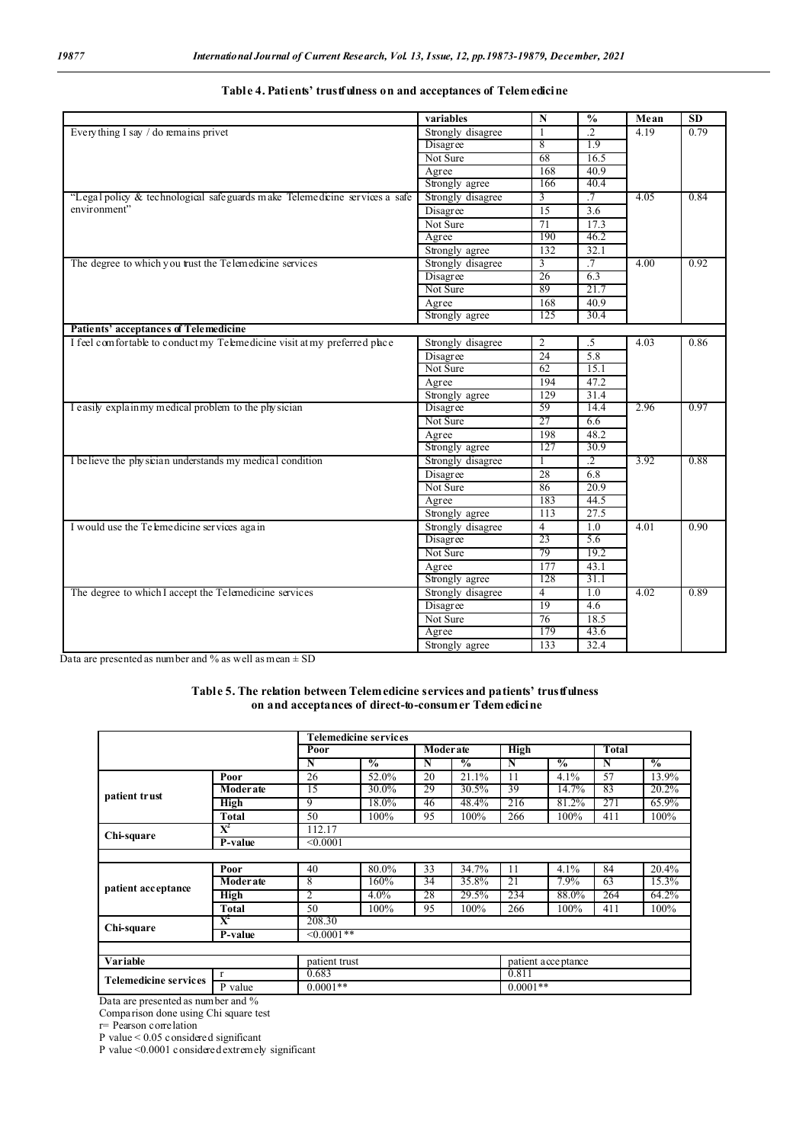|                                                                            | variables         | $\mathbf N$     | $\frac{6}{6}$   | Mean              | SD   |
|----------------------------------------------------------------------------|-------------------|-----------------|-----------------|-------------------|------|
| Every thing I say $/$ do remains privet                                    | Strongly disagree | $\mathbf{1}$    | $\cdot$ .2      | 4.19              | 0.79 |
|                                                                            | Disagree          | 8               | 1.9             |                   |      |
|                                                                            | Not Sure          | 68              | 16.5            |                   |      |
|                                                                            | Agree             | 168             | 40.9            |                   |      |
|                                                                            | Strongly agree    | 166             | 40.4            |                   |      |
| "Legal policy & technological safeguards make Telemedicine services a safe | Strongly disagree | $\overline{3}$  | $\cdot$ 7       | 4.05              | 0.84 |
| environment"                                                               | Disagree          | 15              | 3.6             |                   |      |
|                                                                            | Not Sure          | 71              | 17.3            |                   |      |
|                                                                            | Agree             | 190             | 46.2            |                   |      |
|                                                                            | Strongly agree    | 132             | 32.1            |                   |      |
| The degree to which you trust the Telemedicine services                    | Strongly disagree | 3               | $.7\phantom{0}$ | 4.00              | 0.92 |
|                                                                            | Disagree          | 26              | 6.3             |                   |      |
|                                                                            | Not Sure          | 89              | 21.7            |                   |      |
|                                                                            | Agree             | 168             | 40.9            |                   |      |
|                                                                            | Strongly agree    | 125             | 30.4            |                   |      |
| Patients' acceptances of Telemedicine                                      |                   |                 |                 |                   |      |
| I feel comfortable to conduct my Telemedicine visit at my preferred place  | Strongly disagree | $\overline{2}$  | $.5\,$          | 4.03              | 0.86 |
|                                                                            | Disagree          | 24              | 5.8             |                   |      |
|                                                                            | Not Sure          | 62              | 15.1            |                   |      |
|                                                                            | Agree             | 194             | 47.2            |                   |      |
|                                                                            | Strongly agree    | 129             | 31.4            |                   |      |
| I easily explainmy medical problem to the physician                        | Disagree          | 59              | 14.4            | 2.96              | 0.97 |
|                                                                            | Not Sure          | 27              | 6.6             |                   |      |
|                                                                            | Agree             | 198             | 48.2            |                   |      |
|                                                                            | Strongly agree    | 127             | 30.9            |                   |      |
| I believe the physician understands my medical condition                   | Strongly disagree | T               | $\cdot$ 2       | 3.92              | 0.88 |
|                                                                            | Disagree          | 28              | 6.8             |                   |      |
|                                                                            | Not Sure          | 86              | 20.9            |                   |      |
|                                                                            | Agree             | 183             | 44.5            |                   |      |
|                                                                            | Strongly agree    | 113             | 27.5            |                   |      |
| I would use the Te lemedicine services again                               | Strongly disagree | $\overline{4}$  | 1.0             | $\overline{4.01}$ | 0.90 |
|                                                                            | Disagree          | 23              | 5.6             |                   |      |
|                                                                            | Not Sure          | 79              | 19.2            |                   |      |
|                                                                            | Agree             | 177             | 43.1            |                   |      |
|                                                                            | Strongly agree    | 128             | 31.1            |                   |      |
| The degree to which I accept the Telemedicine services                     | Strongly disagree | $\overline{4}$  | 1.0             | 4.02              | 0.89 |
|                                                                            | Disagree          | 19              | 4.6             |                   |      |
|                                                                            | Not Sure          | $\overline{76}$ | 18.5            |                   |      |
|                                                                            | Agree             | 179             | 43.6            |                   |      |
|                                                                            | Strongly agree    | 133             | 32.4            |                   |      |

| Table 4. Patients' trustfulness on and acceptances of Telemedicine |
|--------------------------------------------------------------------|
|--------------------------------------------------------------------|

Data are presented as number and % as well as mean  $\pm$  SD

**Table 5. The relation between Telemedicine services and patients' trustfulness** on and acceptances of direct-to-consumer Telemedicine

|                              |                           |                 | <b>Telemedicine services</b> |    |                  |             |                    |       |               |  |
|------------------------------|---------------------------|-----------------|------------------------------|----|------------------|-------------|--------------------|-------|---------------|--|
|                              |                           | Poor            |                              |    | <b>Moder</b> ate | <b>High</b> |                    | Total |               |  |
|                              |                           | N               | $\frac{0}{0}$                | N  | $\frac{0}{0}$    | N           | $\frac{0}{2}$      | N     | $\frac{0}{0}$ |  |
|                              | Poor                      | 26              | 52.0%                        | 20 | 21.1%            | 11          | 4.1%               | 57    | 13.9%         |  |
| patient trust                | <b>Moderate</b>           | 15              | 30.0%                        | 29 | 30.5%            | 39          | 14.7%              | 83    | 20.2%         |  |
|                              | <b>High</b>               | 9               | 18.0%                        | 46 | 48.4%            | 216         | 81.2%              | 271   | 65.9%         |  |
|                              | Total                     | 50              | 100%                         | 95 | 100%             | 266         | 100%               | 411   | 100%          |  |
| Chi-square                   | $\overline{X}^2$          | 112.17          |                              |    |                  |             |                    |       |               |  |
|                              | $P-value$                 | < 0.0001        |                              |    |                  |             |                    |       |               |  |
|                              |                           |                 |                              |    |                  |             |                    |       |               |  |
| patient acceptance           | Poor                      | 40              | 80.0%                        | 33 | 34.7%            | 11          | 4.1%               | 84    | 20.4%         |  |
|                              | Moderate                  | 8               | 160%                         | 34 | 35.8%            | 21          | 7.9%               | 63    | 15.3%         |  |
|                              | <b>High</b>               | 2               | $4.0\%$                      | 28 | 29.5%            | 234         | 88.0%              | 264   | 64.2%         |  |
|                              | Total                     | 50              | 100%                         | 95 | 100%             | 266         | 100%               | 411   | 100%          |  |
| Chi-square                   | $\mathbf{X}^{\mathbf{z}}$ | 208.30          |                              |    |                  |             |                    |       |               |  |
|                              | P-value                   | $\leq 0.0001**$ |                              |    |                  |             |                    |       |               |  |
|                              |                           |                 |                              |    |                  |             |                    |       |               |  |
| Variable                     |                           |                 | patient trust                |    |                  |             | patient acceptance |       |               |  |
| <b>Telemedicine services</b> | $\mathbf{r}$              | 0.683           |                              |    |                  | 0.811       |                    |       |               |  |
|                              | P value                   |                 | $0.0001**$<br>$0.0001**$     |    |                  |             |                    |       |               |  |

Data are presented as number and %

Comparison done using Chi square test

r= Pearson correlation

P value < 0.05 considered significant

P value <0.0001 considered extremely significant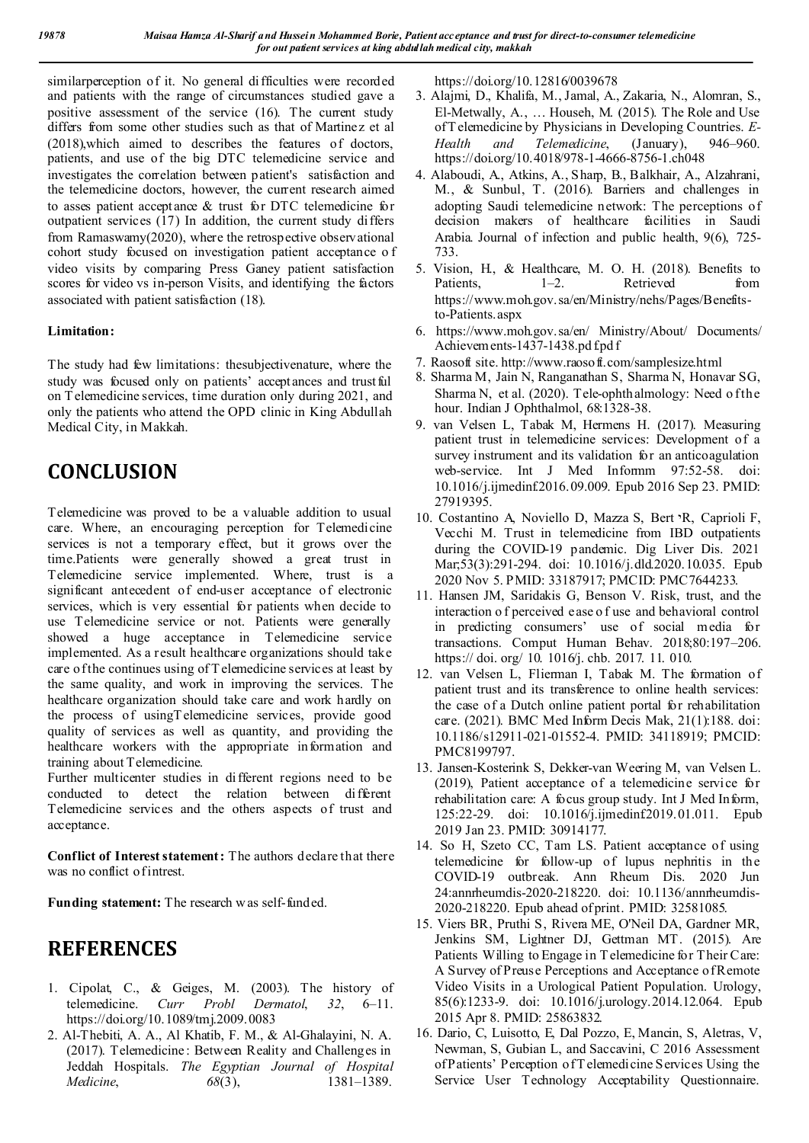similarperception of it. No general difficulties were recorded and patients with the range of circumstances studied gave a positive assessment of the service (16). The current study differs from some other studies such as that of Martinez et al (2018),which aimed to describes the features of doctors, patients, and use of the big DTC telemedicine service and investigates the correlation between patient's satisfaction and the telemedicine doctors, however, the current research aimed to asses patient acceptance & trust for DTC telemedicine for outpatient services  $(17)$  In addition, the current study differs from Ramaswamy(2020), where the retrospective observational cohort study focused on investigation patient acceptance o f video visits by comparing Press Ganey patient satisfaction scores for video vs in-person Visits, and identifying the factors associated with patient satisfaction (18).

#### **Limitation:**

The study had few limitations: thesubjectivenature, where the study was focused only on patients' acceptances and trustful on T elemedicine services, time duration only during 2021, and only the patients who attend the OPD clinic in King Abdullah Medical City, in Makkah.

# **CONCLUSION**

Telemedicine was proved to be a valuable addition to usual care. Where, an encouraging perception for Telemedicine services is not a temporary effect, but it grows over the time.Patients were generally showed a great trust in Telemedicine service implemented. Where, trust is a significant antecedent of end-user acceptance of electronic services, which is very essential for patients when decide to use Telemedicine service or not. Patients were generally showed a huge acceptance in Telemedicine service implemented. As a result healthcare organizations should take care of the continues using of T elemedicine services at least by the same quality, and work in improving the services. The healthcare organization should take care and work hardly on the process of usingTelemedicine services, provide good quality of services as well as quantity, and providing the healthcare workers with the appropriate information and training about Telemedicine.

Further multicenter studies in different regions need to be conducted to detect the relation between different Telemedicine services and the others aspects of trust and acceptance.

**Conflict of Interest statement:** The authors declare that there was no conflict of intrest.

**Funding statement:** The research w as self-funded.

#### **REFERENCES**

- 1. Cipolat, C., & Geiges, M. (2003). The history of telemedicine. *Curr Probl Dermatol*, 32, 6–11. telemedicine. *Curr Probl Dermatol*, *32*, 6–11. https://doi.org/10.1089/tmj.2009.0083
- 2. Al-Thebiti, A. A., Al Khatib, F. M., & Al-Ghalayini, N. A. (2017). Telemedicine : Between Reality and Challenges in Jeddah Hospitals. *The Egyptian Journal of Hospital Medicine*, *68*(3), 1381–1389.

https://doi.org/10.12816/0039678

- 3. Alajmi, D., Khalifa, M., Jamal, A., Zakaria, N., Alomran, S., El-Metwally, A., … Househ, M. (2015). The Role and Use of T elemedicine by Physicians in Developing Countries. *E-Health and Telemedicine*, (January), 946–960. https://doi.org/10.4018/978-1-4666-8756-1.ch048
- 4. Alaboudi, A., Atkins, A., Sharp, B., Balkhair, A., Alzahrani, M., & Sunbul, T. (2016). Barriers and challenges in adopting Saudi telemedicine network: The perceptions of decision makers of healthcare facilities in Saudi Arabia. Journal of infection and public health, 9(6), 725- 733.
- 5. Vision, H., & Healthcare, M. O. H. (2018). Benefits to Patients, 1–2. Retrieved from https://www.moh.gov.sa/en/Ministry/nehs/Pages/Benefitsto-Patients.aspx
- 6. https://www.moh.gov.sa/en/ Ministry/About/ Documents/ Achievem ents-1437-1438.pd f.pd f
- 7. Raosoft site. http://www.raosoft.com/samplesize.html
- 8. Sharma M, Jain N, Ranganathan S, Sharma N, Honavar SG, Sharma N, et al. (2020). Tele-ophthalmology: Need of the hour. Indian J Ophthalmol, 68:1328-38.
- 9. van Velsen L, Tabak M, Hermens H. (2017). Measuring patient trust in telemedicine services: Development of a survey instrument and its validation for an anticoagulation web-service. Int J Med Informm 97:52-58. doi: 10.1016/j.ijmedinf.2016.09.009. Epub 2016 Sep 23. PMID: 27919395.
- 10. Costantino A, Noviello D, Mazza S, Bert יR, Caprioli F, Vecchi M. Trust in telemedicine from IBD outpatients during the COVID-19 pandemic. Dig Liver Dis. 2021 Mar;53(3):291-294. doi: 10.1016/j.dld.2020.10.035. Epub 2020 Nov 5. PMID: 33187917; PMCID: PMC7644233.
- 11. Hansen JM, Saridakis G, Benson V. Risk, trust, and the interaction o f perceived ease o f use and behavioral control in predicting consumers' use of social media for transactions. Comput Human Behav. 2018;80:197–206. https:// doi. org/ 10. 1016/j. chb. 2017. 11. 010.
- 12. van Velsen L, Flierman I, Tabak M. The formation of patient trust and its transference to online health services: the case of a Dutch online patient portal for rehabilitation care. (2021). BMC Med Inform Decis Mak, 21(1):188. doi: 10.1186/s12911-021-01552-4. PMID: 34118919; PMCID: PMC8199797.
- 13. Jansen-Kosterink S, Dekker-van Weering M, van Velsen L. (2019), Patient acceptance of a telemedicine service for rehabilitation care: A focus group study. Int J Med Inform, 125:22-29. doi: 10.1016/j.ijmedinf2019.01.011. Epub 2019 Jan 23. PMID: 30914177.
- 14. So H, Szeto CC, Tam LS. Patient acceptance of using telemedicine for follow-up of lupus nephritis in the COVID-19 outbreak. Ann Rheum Dis. 2020 Jun 24:annrheumdis-2020-218220. doi: 10.1136/annrheumdis-2020-218220. Epub ahead of print. PMID: 32581085.
- 15. Viers BR, Pruthi S, Rivera ME, O'Neil DA, Gardner MR, Jenkins SM, Lightner DJ, Gettman MT. (2015). Are Patients Willing to Engage in T elemedicine for Their Care: A Survey of Preuse Perceptions and Acceptance of Remote Video Visits in a Urological Patient Population. Urology, 85(6):1233-9. doi: 10.1016/j.urology.2014.12.064. Epub 2015 Apr 8. PMID: 25863832.
- 16. Dario, C, Luisotto, E, Dal Pozzo, E, Mancin, S, Aletras, V, Newman, S, Gubian L, and Saccavini, C 2016 Assessment of Patients' Perception of T elemedicine Services Using the Service User Technology Acceptability Questionnaire.